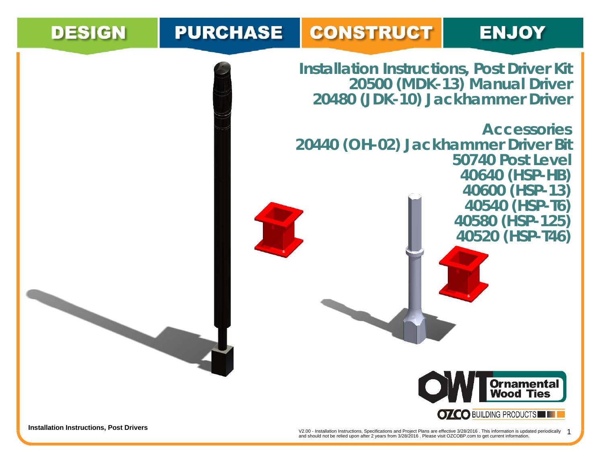## **CONSTRUCT PURCHASE**

## **ENJOY**

**Installation Instructions, Post Driver Kit 20500 (MDK-13) Manual Driver 20480 (JDK-10) Jackhammer Driver**

**Accessories20440 (OH-02) Jackhammer Driver Bit 50740 Post Level40640 (HSP-HB) 40600 (HSP-13) 40540 (HSP-T6) 40580 (HSP-125) 40520 (HSP-T46)**



**DESIGN** 

**Installation Instructions, Post Drivers**<br>and should not be relied upon after 2 years from 3/28/2016 . Please visit OZCOBP.com to get current information.<br>and should not be relied upon after 2 years from 3/28/2016 . Please 1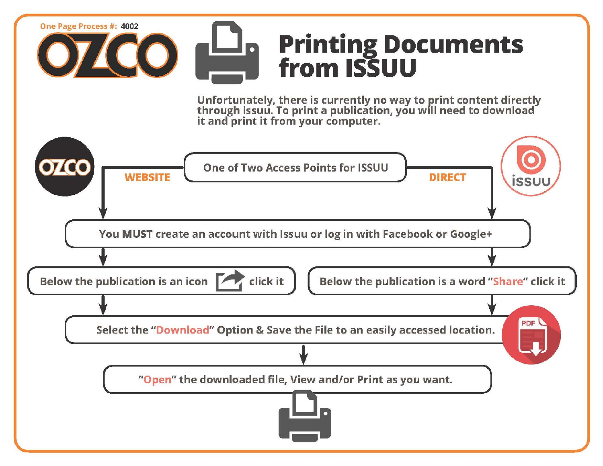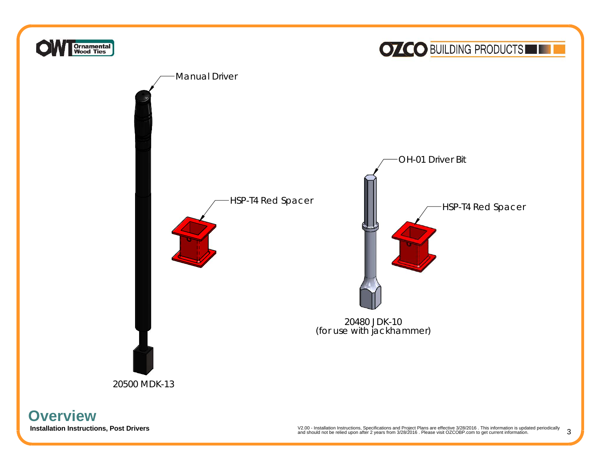

**Overview**

102.00 - Installation Istructions and Project Plans are effective 3/28/2016 . This information is updated periodically<br>and should not be relied upon after 2 years from 3/28/2016 . Please visit OZCOBP.com to get current inf 3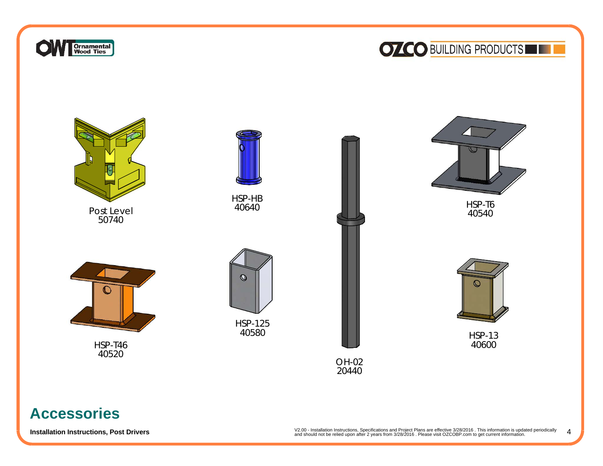

## **OZCO BUILDING PRODUCTS**



## **Accessories**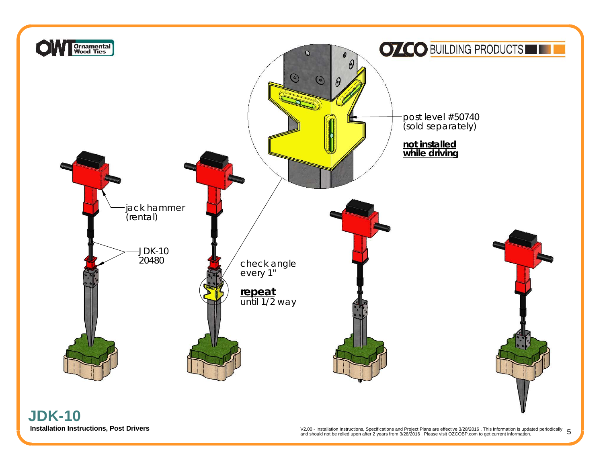

**Installation Instructions, Post Drivers**<br>and should not be relied upon after 2 years from 3/28/2016. Please visit OZCOBP.com to get current information.<br>and should not be relied upon after 2 years from 3/28/2016. Please v